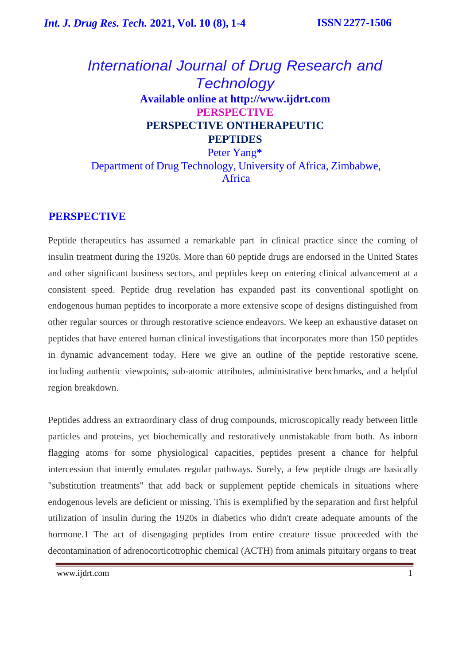# *International Journal of Drug Research and Technology* **Available online at [http://www.ijdrt.com](http://www.ijdrt.com/) PERSPECTIVE PERSPECTIVE ONTHERAPEUTIC PEPTIDES**

Peter Yang**\*** Department of Drug Technology, University of Africa, Zimbabwe, Africa

## **PERSPECTIVE**

Peptide therapeutics has assumed a remarkable part in clinical practice since the coming of insulin treatment during the 1920s. More than 60 peptide drugs are endorsed in the United States and other significant business sectors, and peptides keep on entering clinical advancement at a consistent speed. Peptide drug revelation has expanded past its conventional spotlight on endogenous human peptides to incorporate a more extensive scope of designs distinguished from other regular sources or through restorative science endeavors. We keep an exhaustive dataset on peptides that have entered human clinical investigations that incorporates more than 150 peptides in dynamic advancement today. Here we give an outline of the peptide restorative scene, including authentic viewpoints, sub-atomic attributes, administrative benchmarks, and a helpful region breakdown.

Peptides address an extraordinary class of drug compounds, microscopically ready between little particles and proteins, yet biochemically and restoratively unmistakable from both. As inborn flagging atoms for some physiological capacities, peptides present a chance for helpful intercession that intently emulates regular pathways. Surely, a few peptide drugs are basically "substitution treatments" that add back or supplement peptide chemicals in situations where endogenous levels are deficient or missing. This is exemplified by the separation and first helpful utilization of insulin during the 1920s in diabetics who didn't create adequate amounts of the hormone.1 The act of disengaging peptides from entire creature tissue proceeded with the decontamination of adrenocorticotrophic chemical (ACTH) from animals pituitary organs to treat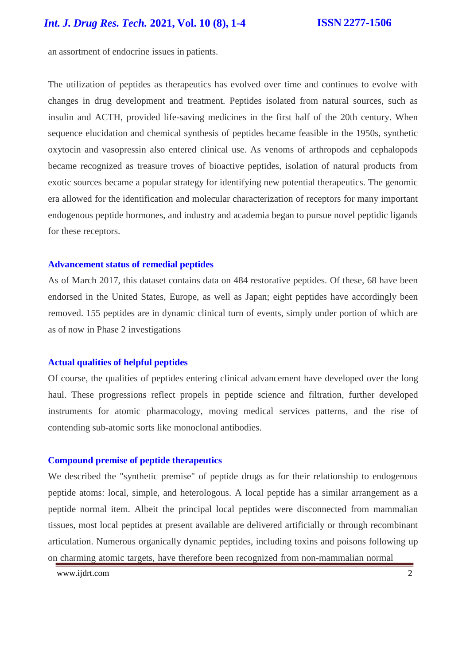an assortment of endocrine issues in patients.

The utilization of peptides as therapeutics has evolved over time and continues to evolve with changes in drug development and treatment. Peptides isolated from natural sources, such as insulin and ACTH, provided life-saving medicines in the first half of the 20th century. When sequence elucidation and chemical synthesis of peptides became feasible in the 1950s, synthetic oxytocin and vasopressin also entered clinical use. As venoms of arthropods and cephalopods became recognized as treasure troves of bioactive peptides, isolation of natural products from exotic sources became a popular strategy for identifying new potential therapeutics. The genomic era allowed for the identification and molecular characterization of receptors for many important endogenous peptide hormones, and industry and academia began to pursue novel peptidic ligands for these receptors.

### **Advancement status of remedial peptides**

As of March 2017, this dataset contains data on 484 restorative peptides. Of these, 68 have been endorsed in the United States, Europe, as well as Japan; eight peptides have accordingly been removed. 155 peptides are in dynamic clinical turn of events, simply under portion of which are as of now in Phase 2 investigations

### **Actual qualities of helpful peptides**

Of course, the qualities of peptides entering clinical advancement have developed over the long haul. These progressions reflect propels in peptide science and filtration, further developed instruments for atomic pharmacology, moving medical services patterns, and the rise of contending sub-atomic sorts like monoclonal antibodies.

### **Compound premise of peptide therapeutics**

We described the "synthetic premise" of peptide drugs as for their relationship to endogenous peptide atoms: local, simple, and heterologous. A local peptide has a similar arrangement as a peptide normal item. Albeit the principal local peptides were disconnected from mammalian tissues, most local peptides at present available are delivered artificially or through recombinant articulation. Numerous organically dynamic peptides, including toxins and poisons following up on charming atomic targets, have therefore been recognized from non-mammalian normal

[www.ijdrt.com](http://www.ijdrt.com/) 2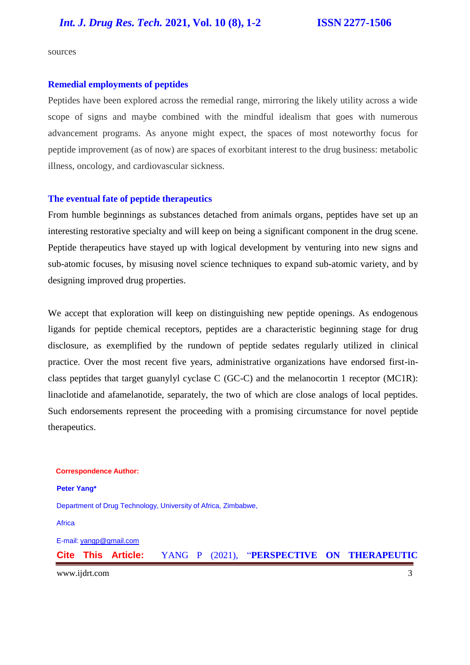sources

#### **Remedial employments of peptides**

Peptides have been explored across the remedial range, mirroring the likely utility across a wide scope of signs and maybe combined with the mindful idealism that goes with numerous advancement programs. As anyone might expect, the spaces of most noteworthy focus for peptide improvement (as of now) are spaces of exorbitant interest to the drug business: metabolic illness, oncology, and cardiovascular sickness.

#### **The eventual fate of peptide therapeutics**

From humble beginnings as substances detached from animals organs, peptides have set up an interesting restorative specialty and will keep on being a significant component in the drug scene. Peptide therapeutics have stayed up with logical development by venturing into new signs and sub-atomic focuses, by misusing novel science techniques to expand sub-atomic variety, and by designing improved drug properties.

We accept that exploration will keep on distinguishing new peptide openings. As endogenous ligands for peptide chemical receptors, peptides are a characteristic beginning stage for drug disclosure, as exemplified by the rundown of peptide sedates regularly utilized in clinical practice. Over the most recent five years, administrative organizations have endorsed first-inclass peptides that target guanylyl cyclase C (GC-C) and the melanocortin 1 receptor (MC1R): linaclotide and afamelanotide, separately, the two of which are close analogs of local peptides. Such endorsements represent the proceeding with a promising circumstance for novel peptide therapeutics.

# [www.ijdrt.com](http://www.ijdrt.com/) 3 **Correspondence Author: Peter Yang\*** Department of Drug Technology, University of Africa, Zimbabwe, **Africa** E-mail: [yangp@gmail.com](mailto:yangp@gmail.com) **Cite This Article:** YANG P (2021), "**PERSPECTIVE ON THERAPEUTIC**